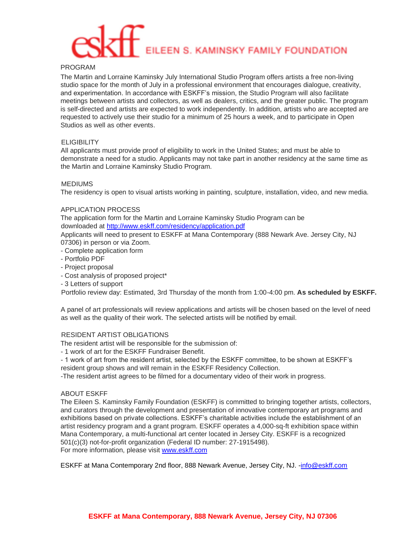# EILEEN S. KAMINSKY FAMILY FOUNDATION

# PROGRAM

The Martin and Lorraine Kaminsky July International Studio Program offers artists a free non-living studio space for the month of July in a professional environment that encourages dialogue, creativity, and experimentation. In accordance with ESKFF's mission, the Studio Program will also facilitate meetings between artists and collectors, as well as dealers, critics, and the greater public. The program is self-directed and artists are expected to work independently. In addition, artists who are accepted are requested to actively use their studio for a minimum of 25 hours a week, and to participate in Open Studios as well as other events.

# **ELIGIBILITY**

All applicants must provide proof of eligibility to work in the United States; and must be able to demonstrate a need for a studio. Applicants may not take part in another residency at the same time as the Martin and Lorraine Kaminsky Studio Program.

# MEDIUMS

The residency is open to visual artists working in painting, sculpture, installation, video, and new media.

# APPLICATION PROCESS

The application form for the Martin and Lorraine Kaminsky Studio Program can be downloaded at<http://www.eskff.com/residency/application.pdf>

Applicants will need to present to ESKFF at Mana Contemporary (888 Newark Ave. Jersey City, NJ 07306) in person or via Zoom.

- Complete application form
- Portfolio PDF
- Project proposal
- Cost analysis of proposed project\*
- 3 Letters of support

Portfolio review day: Estimated, 3rd Thursday of the month from 1:00-4:00 pm. **As scheduled by ESKFF.** 

A panel of art professionals will review applications and artists will be chosen based on the level of need as well as the quality of their work. The selected artists will be notified by email.

#### RESIDENT ARTIST OBLIGATIONS

The resident artist will be responsible for the submission of:

- 1 work of art for the ESKFF Fundraiser Benefit.
- 1 work of art from the resident artist, selected by the ESKFF committee, to be shown at ESKFF's resident group shows and will remain in the ESKFF Residency Collection.

-The resident artist agrees to be filmed for a documentary video of their work in progress.

#### ABOUT ESKFF

The Eileen S. Kaminsky Family Foundation (ESKFF) is committed to bringing together artists, collectors, and curators through the development and presentation of innovative contemporary art programs and exhibitions based on private collections. ESKFF's charitable activities include the establishment of an artist residency program and a grant program. ESKFF operates a 4,000-sq-ft exhibition space within Mana Contemporary, a multi-functional art center located in Jersey City. ESKFF is a recognized 501(c)(3) not-for-profit organization (Federal ID number: 27-1915498). For more information, please visit [www.eskff.com](http://www.eskff.com/)

ESKFF at Mana Contemporary 2nd floor, 888 Newark Avenue, Jersey City, NJ. -info@eskff.com